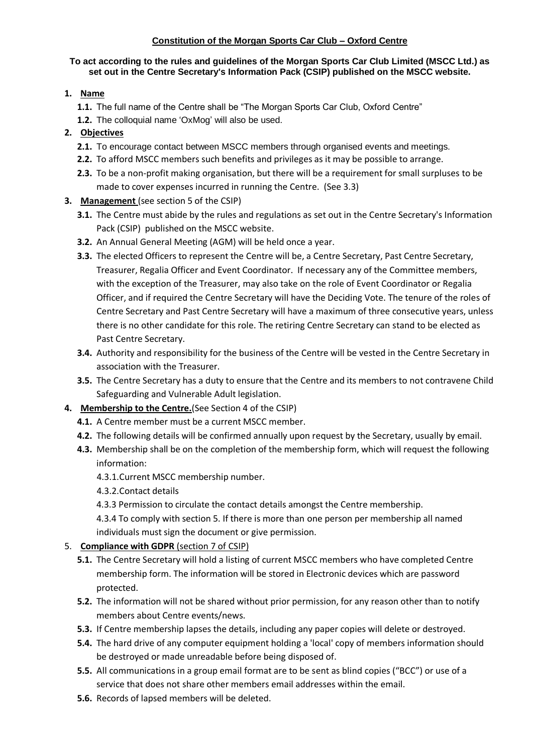#### **Constitution of the Morgan Sports Car Club – Oxford Centre**

#### **To act according to the rules and guidelines of the Morgan Sports Car Club Limited (MSCC Ltd.) as set out in the Centre Secretary's Information Pack (CSIP) published on the MSCC website.**

#### **1. Name**

- **1.1.** The full name of the Centre shall be "The Morgan Sports Car Club, Oxford Centre"
- **1.2.** The colloquial name 'OxMog' will also be used.

## **2. Objectives**

- **2.1.** To encourage contact between MSCC members through organised events and meetings.
- **2.2.** To afford MSCC members such benefits and privileges as it may be possible to arrange.
- **2.3.** To be a non-profit making organisation, but there will be a requirement for small surpluses to be made to cover expenses incurred in running the Centre. (See 3.3)

## **3. Management** (see section 5 of the CSIP)

- **3.1.** The Centre must abide by the rules and regulations as set out in the Centre Secretary's Information Pack (CSIP) published on the MSCC website.
- **3.2.** An Annual General Meeting (AGM) will be held once a year.
- **3.3.** The elected Officers to represent the Centre will be, a Centre Secretary, Past Centre Secretary, Treasurer, Regalia Officer and Event Coordinator. If necessary any of the Committee members, with the exception of the Treasurer, may also take on the role of Event Coordinator or Regalia Officer, and if required the Centre Secretary will have the Deciding Vote. The tenure of the roles of Centre Secretary and Past Centre Secretary will have a maximum of three consecutive years, unless there is no other candidate for this role. The retiring Centre Secretary can stand to be elected as Past Centre Secretary.
- **3.4.** Authority and responsibility for the business of the Centre will be vested in the Centre Secretary in association with the Treasurer.
- **3.5.** The Centre Secretary has a duty to ensure that the Centre and its members to not contravene Child Safeguarding and Vulnerable Adult legislation.
- **4. Membership to the Centre.**(See Section 4 of the CSIP)
	- **4.1.** A Centre member must be a current MSCC member.
	- **4.2.** The following details will be confirmed annually upon request by the Secretary, usually by email.
	- **4.3.** Membership shall be on the completion of the membership form, which will request the following information:
		- 4.3.1.Current MSCC membership number.
		- 4.3.2.Contact details
		- 4.3.3 Permission to circulate the contact details amongst the Centre membership.
		- 4.3.4 To comply with section 5. If there is more than one person per membership all named individuals must sign the document or give permission.

## 5. **Compliance with GDPR** (section 7 of CSIP)

- **5.1.** The Centre Secretary will hold a listing of current MSCC members who have completed Centre membership form. The information will be stored in Electronic devices which are password protected.
- **5.2.** The information will not be shared without prior permission, for any reason other than to notify members about Centre events/news.
- **5.3.** If Centre membership lapses the details, including any paper copies will delete or destroyed.
- **5.4.** The hard drive of any computer equipment holding a 'local' copy of members information should be destroyed or made unreadable before being disposed of.
- **5.5.** All communications in a group email format are to be sent as blind copies ("BCC") or use of a service that does not share other members email addresses within the email.
- **5.6.** Records of lapsed members will be deleted.